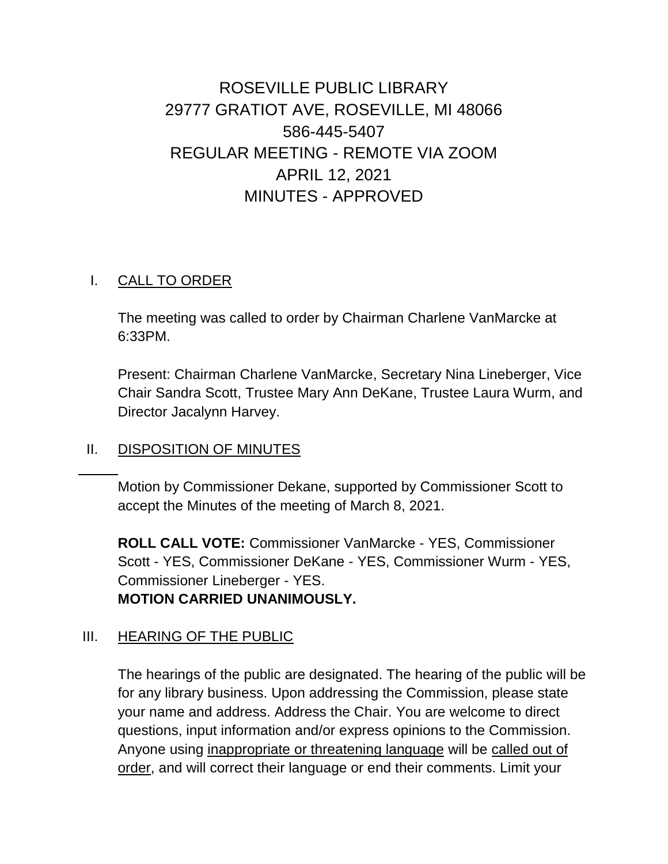# ROSEVILLE PUBLIC LIBRARY 29777 GRATIOT AVE, ROSEVILLE, MI 48066 586-445-5407 REGULAR MEETING - REMOTE VIA ZOOM APRIL 12, 2021 MINUTES - APPROVED

#### I. CALL TO ORDER

The meeting was called to order by Chairman Charlene VanMarcke at 6:33PM.

Present: Chairman Charlene VanMarcke, Secretary Nina Lineberger, Vice Chair Sandra Scott, Trustee Mary Ann DeKane, Trustee Laura Wurm, and Director Jacalynn Harvey.

#### II. DISPOSITION OF MINUTES

Motion by Commissioner Dekane, supported by Commissioner Scott to accept the Minutes of the meeting of March 8, 2021.

**ROLL CALL VOTE:** Commissioner VanMarcke - YES, Commissioner Scott - YES, Commissioner DeKane - YES, Commissioner Wurm - YES, Commissioner Lineberger - YES. **MOTION CARRIED UNANIMOUSLY.**

## III. HEARING OF THE PUBLIC

The hearings of the public are designated. The hearing of the public will be for any library business. Upon addressing the Commission, please state your name and address. Address the Chair. You are welcome to direct questions, input information and/or express opinions to the Commission. Anyone using inappropriate or threatening language will be called out of order, and will correct their language or end their comments. Limit your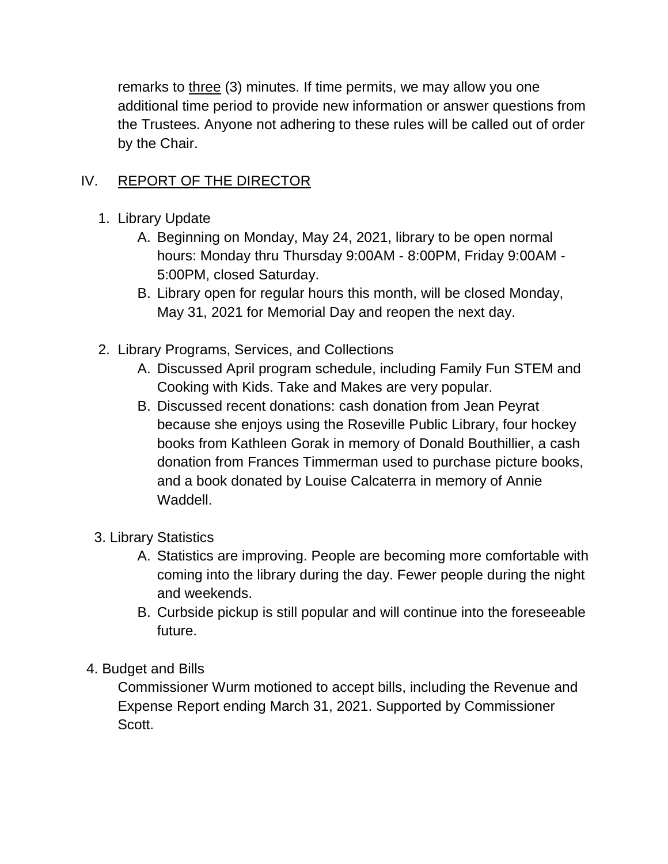remarks to three (3) minutes. If time permits, we may allow you one additional time period to provide new information or answer questions from the Trustees. Anyone not adhering to these rules will be called out of order by the Chair.

## IV. REPORT OF THE DIRECTOR

- 1. Library Update
	- A. Beginning on Monday, May 24, 2021, library to be open normal hours: Monday thru Thursday 9:00AM - 8:00PM, Friday 9:00AM - 5:00PM, closed Saturday.
	- B. Library open for regular hours this month, will be closed Monday, May 31, 2021 for Memorial Day and reopen the next day.
- 2. Library Programs, Services, and Collections
	- A. Discussed April program schedule, including Family Fun STEM and Cooking with Kids. Take and Makes are very popular.
	- B. Discussed recent donations: cash donation from Jean Peyrat because she enjoys using the Roseville Public Library, four hockey books from Kathleen Gorak in memory of Donald Bouthillier, a cash donation from Frances Timmerman used to purchase picture books, and a book donated by Louise Calcaterra in memory of Annie Waddell.
- 3. Library Statistics
	- A. Statistics are improving. People are becoming more comfortable with coming into the library during the day. Fewer people during the night and weekends.
	- B. Curbside pickup is still popular and will continue into the foreseeable future.
- 4. Budget and Bills

Commissioner Wurm motioned to accept bills, including the Revenue and Expense Report ending March 31, 2021. Supported by Commissioner Scott.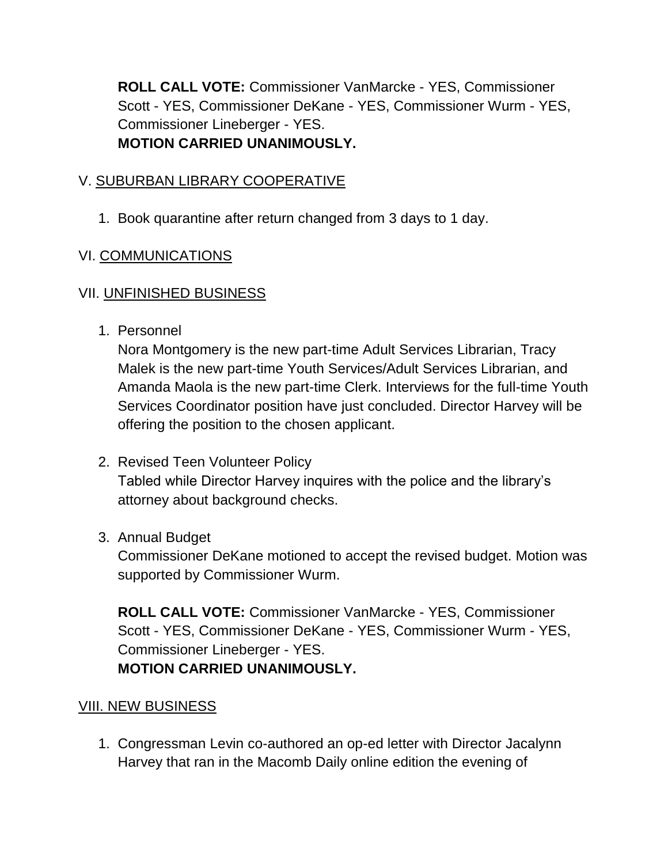**ROLL CALL VOTE:** Commissioner VanMarcke - YES, Commissioner Scott - YES, Commissioner DeKane - YES, Commissioner Wurm - YES, Commissioner Lineberger - YES. **MOTION CARRIED UNANIMOUSLY.**

## V. SUBURBAN LIBRARY COOPERATIVE

1. Book quarantine after return changed from 3 days to 1 day.

### VI. COMMUNICATIONS

#### VII. UNFINISHED BUSINESS

1. Personnel

Nora Montgomery is the new part-time Adult Services Librarian, Tracy Malek is the new part-time Youth Services/Adult Services Librarian, and Amanda Maola is the new part-time Clerk. Interviews for the full-time Youth Services Coordinator position have just concluded. Director Harvey will be offering the position to the chosen applicant.

- 2. Revised Teen Volunteer Policy Tabled while Director Harvey inquires with the police and the library's attorney about background checks.
- 3. Annual Budget

Commissioner DeKane motioned to accept the revised budget. Motion was supported by Commissioner Wurm.

**ROLL CALL VOTE:** Commissioner VanMarcke - YES, Commissioner Scott - YES, Commissioner DeKane - YES, Commissioner Wurm - YES, Commissioner Lineberger - YES. **MOTION CARRIED UNANIMOUSLY.**

#### VIII. NEW BUSINESS

1. Congressman Levin co-authored an op-ed letter with Director Jacalynn Harvey that ran in the Macomb Daily online edition the evening of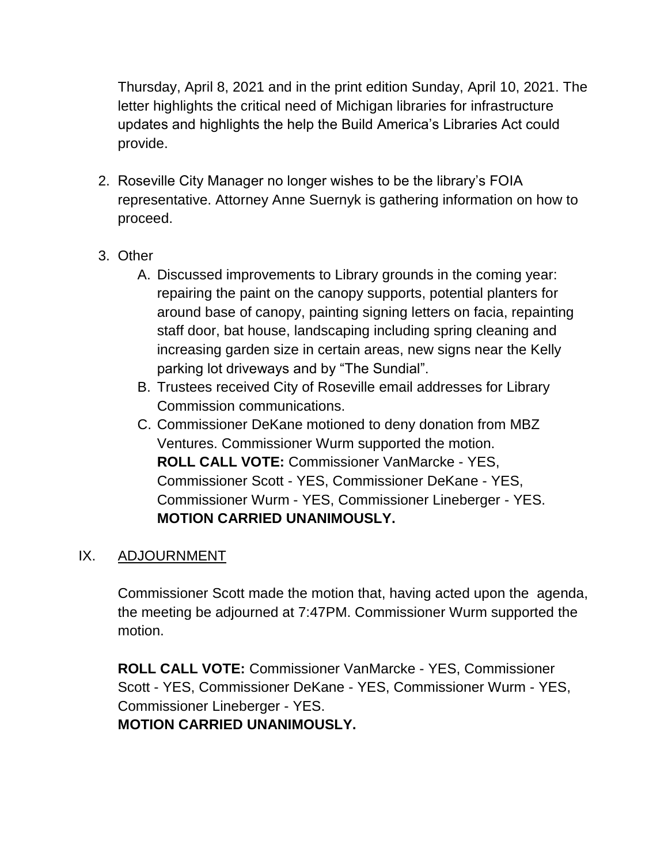Thursday, April 8, 2021 and in the print edition Sunday, April 10, 2021. The letter highlights the critical need of Michigan libraries for infrastructure updates and highlights the help the Build America's Libraries Act could provide.

- 2. Roseville City Manager no longer wishes to be the library's FOIA representative. Attorney Anne Suernyk is gathering information on how to proceed.
- 3. Other
	- A. Discussed improvements to Library grounds in the coming year: repairing the paint on the canopy supports, potential planters for around base of canopy, painting signing letters on facia, repainting staff door, bat house, landscaping including spring cleaning and increasing garden size in certain areas, new signs near the Kelly parking lot driveways and by "The Sundial".
	- B. Trustees received City of Roseville email addresses for Library Commission communications.
	- C. Commissioner DeKane motioned to deny donation from MBZ Ventures. Commissioner Wurm supported the motion. **ROLL CALL VOTE:** Commissioner VanMarcke - YES, Commissioner Scott - YES, Commissioner DeKane - YES, Commissioner Wurm - YES, Commissioner Lineberger - YES. **MOTION CARRIED UNANIMOUSLY.**

## IX. ADJOURNMENT

Commissioner Scott made the motion that, having acted upon the agenda, the meeting be adjourned at 7:47PM. Commissioner Wurm supported the motion.

**ROLL CALL VOTE:** Commissioner VanMarcke - YES, Commissioner Scott - YES, Commissioner DeKane - YES, Commissioner Wurm - YES, Commissioner Lineberger - YES. **MOTION CARRIED UNANIMOUSLY.**